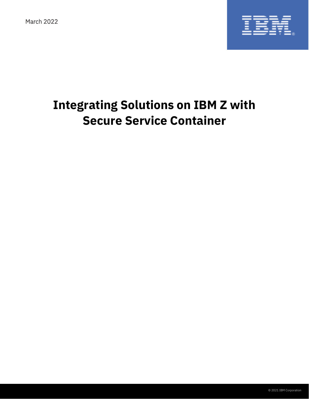March 2022



# **Integrating Solutions on IBM Z with Secure Service Container**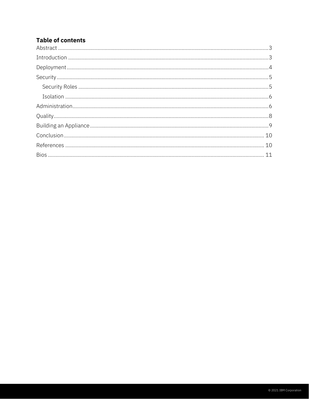## **Table of contents**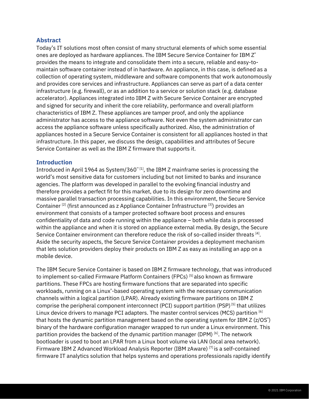#### <span id="page-2-0"></span>**Abstract**

Today's IT solutions most often consist of many structural elements of which some essential ones are deployed as hardware appliances. The IBM Secure Service Container for IBM Z<sup>®</sup> provides the means to integrate and consolidate them into a secure, reliable and easy-tomaintain software container instead of in hardware. An appliance, in this case, is defined as a collection of operating system, middleware and software components that work autonomously and provides core services and infrastructure. Appliances can serve as part of a data center infrastructure (e.g. firewall), or as an addition to a service or solution stack (e.g. database accelerator). Appliances integrated into IBM Z with Secure Service Container are encrypted and signed for security and inherit the core reliability, performance and overall platform characteristics of IBM Z. These appliances are tamper proof, and only the appliance administrator has access to the appliance software. Not even the system administrator can access the appliance software unless specifically authorized. Also, the administration of appliances hosted in a Secure Service Container is consistent for all appliances hosted in that infrastructure. In this paper, we discuss the design, capabilities and attributes of Secure Service Container as well as the IBM Z firmware that supports it.

#### <span id="page-2-1"></span>**Introduction**

Introduced in April 1964 as System/360™ [1], the IBM Z mainframe series is processing the world's most sensitive data for customers including but not limited to banks and insurance agencies. The platform was developed in parallel to the evolving financial industry and therefore provides a perfect fit for this market, due to its design for zero downtime and massive parallel transaction processing capabilities. In this environment, the Secure Service Container <sup>[2]</sup> (first announced as z Appliance Container Infrastructure <sup>[3]</sup>) provides an environment that consists of a tamper protected software boot process and ensures confidentiality of data and code running within the appliance – both while data is processed within the appliance and when it is stored on appliance external media. By design, the Secure Service Container environment can therefore reduce the risk of so-called insider threats  $^{[4]}$ . Aside the security aspects, the Secure Service Container provides a deployment mechanism that lets solution providers deploy their products on IBM Z as easy as installing an app on a mobile device.

The IBM Secure Service Container is based on IBM Z firmware technology, that was introduced to implement so-called Firmware Platform Containers (FPCs)<sup>[5]</sup> also known as firmware partitions. These FPCs are hosting firmware functions that are separated into specific workloads, running on a Linux® -based operating system with the necessary communication channels within a logical partition (LPAR). Already existing firmware partitions on IBM Z comprise the peripheral component interconnect (PCI) support partition (PSP)<sup>[5]</sup> that utilizes Linux device drivers to manage PCI adapters. The master control services (MCS) partition [6] that hosts the dynamic partition management based on the operating system for IBM Z (z/OS°) binary of the hardware configuration manager wrapped to run under a Linux environment. This partition provides the backend of the dynamic partition manager (DPM) [6]. The network bootloader is used to boot an LPAR from a Linux boot volume via LAN (local area network). Firmware IBM Z Advanced Workload Analysis Reporter (IBM zAware) [7] is a self-contained firmware IT analytics solution that helps systems and operations professionals rapidly identify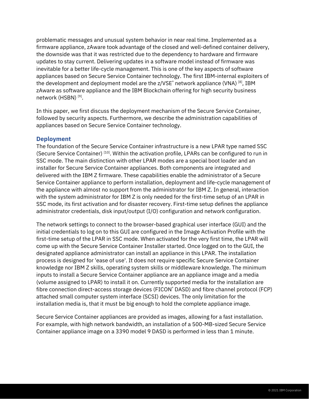problematic messages and unusual system behavior in near real time. Implemented as a firmware appliance, zAware took advantage of the closed and well-defined container delivery, the downside was that it was restricted due to the dependency to hardware and firmware updates to stay current. Delivering updates in a software model instead of firmware was inevitable for a better life-cycle management. This is one of the key aspects of software appliances based on Secure Service Container technology. The first IBM-internal exploiters of the development and deployment model are the z/VSE<sup>®</sup> network appliance (VNA)<sup>[8]</sup>, IBM zAware as software appliance and the IBM Blockchain offering for high security business network (HSBN) [9].

In this paper, we first discuss the deployment mechanism of the Secure Service Container, followed by security aspects. Furthermore, we describe the administration capabilities of appliances based on Secure Service Container technology.

#### <span id="page-3-0"></span>**Deployment**

The foundation of the Secure Service Container infrastructure is a new LPAR type named SSC (Secure Service Container) [10]. Within the activation profile, LPARs can be configured to run in SSC mode. The main distinction with other LPAR modes are a special boot loader and an installer for Secure Service Container appliances. Both components are integrated and delivered with the IBM Z firmware. These capabilities enable the administrator of a Secure Service Container appliance to perform installation, deployment and life-cycle management of the appliance with almost no support from the administrator for IBM Z. In general, interaction with the system administrator for IBM Z is only needed for the first-time setup of an LPAR in SSC mode, its first activation and for disaster recovery. First-time setup defines the appliance administrator credentials, disk input/output (I/O) configuration and network configuration.

The network settings to connect to the browser-based graphical user interface (GUI) and the initial credentials to log on to this GUI are configured in the Image Activation Profile with the first-time setup of the LPAR in SSC mode. When activated for the very first time, the LPAR will come up with the Secure Service Container Installer started. Once logged on to the GUI, the designated appliance administrator can install an appliance in this LPAR. The installation process is designed for 'ease of use'. It does not require specific Secure Service Container knowledge nor IBM Z skills, operating system skills or middleware knowledge. The minimum inputs to install a Secure Service Container appliance are an appliance image and a media (volume assigned to LPAR) to install it on. Currently supported media for the installation are fibre connection direct-access storage devices (FICON<sup>®</sup> DASD) and fibre channel protocol (FCP) attached small computer system interface (SCSI) devices. The only limitation for the installation media is, that it must be big enough to hold the complete appliance image.

Secure Service Container appliances are provided as images, allowing for a fast installation. For example, with high network bandwidth, an installation of a 500-MB-sized Secure Service Container appliance image on a 3390 model 9 DASD is performed in less than 1 minute.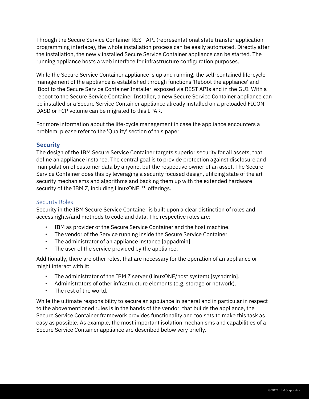Through the Secure Service Container REST API (representational state transfer application programming interface), the whole installation process can be easily automated. Directly after the installation, the newly installed Secure Service Container appliance can be started. The running appliance hosts a web interface for infrastructure configuration purposes.

While the Secure Service Container appliance is up and running, the self-contained life-cycle management of the appliance is established through functions 'Reboot the appliance' and 'Boot to the Secure Service Container Installer' exposed via REST APIs and in the GUI. With a reboot to the Secure Service Container Installer, a new Secure Service Container appliance can be installed or a Secure Service Container appliance already installed on a preloaded FICON DASD or FCP volume can be migrated to this LPAR.

For more information about the life-cycle management in case the appliance encounters a problem, please refer to the 'Quality' section of this paper.

#### <span id="page-4-0"></span>**Security**

The design of the IBM Secure Service Container targets superior security for all assets, that define an appliance instance. The central goal is to provide protection against disclosure and manipulation of customer data by anyone, but the respective owner of an asset. The Secure Service Container does this by leveraging a security focused design, utilizing state of the art security mechanisms and algorithms and backing them up with the extended hardware security of the IBM Z, including LinuxONE [11] offerings.

#### <span id="page-4-1"></span>Security Roles

Security in the IBM Secure Service Container is built upon a clear distinction of roles and access rights/and methods to code and data. The respective roles are:

- IBM as provider of the Secure Service Container and the host machine.
- The vendor of the Service running inside the Secure Service Container.
- The administrator of an appliance instance [appadmin].
- The user of the service provided by the appliance.

Additionally, there are other roles, that are necessary for the operation of an appliance or might interact with it:

- The administrator of the IBM Z server (LinuxONE/host system) [sysadmin].
- Administrators of other infrastructure elements (e.g. storage or network).
- The rest of the world.

While the ultimate responsibility to secure an appliance in general and in particular in respect to the abovementioned rules is in the hands of the vendor, that builds the appliance, the Secure Service Container framework provides functionality and toolsets to make this task as easy as possible. As example, the most important isolation mechanisms and capabilities of a Secure Service Container appliance are described below very briefly.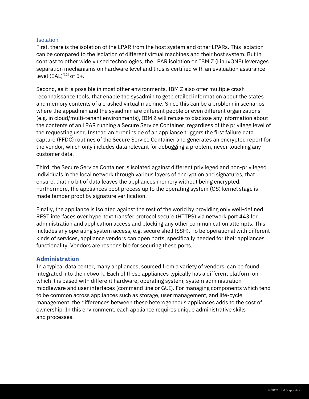#### <span id="page-5-0"></span>**Isolation**

First, there is the isolation of the LPAR from the host system and other LPARs. This isolation can be compared to the isolation of different virtual machines and their host system. But in contrast to other widely used technologies, the LPAR isolation on IBM Z (LinuxONE) leverages separation mechanisms on hardware level and thus is certified with an evaluation assurance level  $(EAL)^{[12]}$  of 5+.

Second, as it is possible in most other environments, IBM Z also offer multiple crash reconnaissance tools, that enable the sysadmin to get detailed information about the states and memory contents of a crashed virtual machine. Since this can be a problem in scenarios where the appadmin and the sysadmin are different people or even different organizations (e.g. in cloud/multi-tenant environments), IBM Z will refuse to disclose any information about the contents of an LPAR running a Secure Service Container, regardless of the privilege level of the requesting user. Instead an error inside of an appliance triggers the first failure data capture (FFDC) routines of the Secure Service Container and generates an encrypted report for the vendor, which only includes data relevant for debugging a problem, never touching any customer data.

Third, the Secure Service Container is isolated against different privileged and non-privileged individuals in the local network through various layers of encryption and signatures, that ensure, that no bit of data leaves the appliances memory without being encrypted. Furthermore, the appliances boot process up to the operating system (OS) kernel stage is made tamper proof by signature verification.

Finally, the appliance is isolated against the rest of the world by providing only well-defined REST interfaces over hypertext transfer protocol secure (HTTPS) via network port 443 for administration and application access and blocking any other communication attempts. This includes any operating system access, e.g. secure shell (SSH). To be operational with different kinds of services, appliance vendors can open ports, specifically needed for their appliances functionality. Vendors are responsible for securing these ports.

#### <span id="page-5-1"></span>**Administration**

In a typical data center, many appliances, sourced from a variety of vendors, can be found integrated into the network. Each of these appliances typically has a different platform on which it is based with different hardware, operating system, system administration middleware and user interfaces (command line or GUI). For managing components which tend to be common across appliances such as storage, user management, and life-cycle management, the differences between these heterogeneous appliances adds to the cost of ownership. In this environment, each appliance requires unique administrative skills and processes.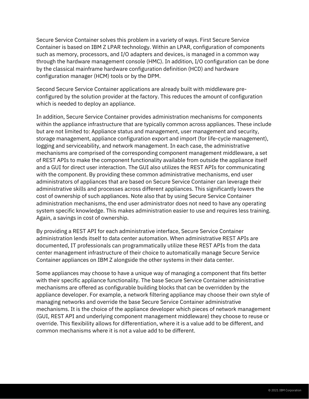Secure Service Container solves this problem in a variety of ways. First Secure Service Container is based on IBM Z LPAR technology. Within an LPAR, configuration of components such as memory, processors, and I/O adapters and devices, is managed in a common way through the hardware management console (HMC). In addition, I/O configuration can be done by the classical mainframe hardware configuration definition (HCD) and hardware configuration manager (HCM) tools or by the DPM.

Second Secure Service Container applications are already built with middleware preconfigured by the solution provider at the factory. This reduces the amount of configuration which is needed to deploy an appliance.

In addition, Secure Service Container provides administration mechanisms for components within the appliance infrastructure that are typically common across appliances. These include but are not limited to: Appliance status and management, user management and security, storage management, appliance configuration export and import (for life-cycle management), logging and serviceability, and network management. In each case, the administrative mechanisms are comprised of the corresponding component management middleware, a set of REST APIs to make the component functionality available from outside the appliance itself and a GUI for direct user interaction. The GUI also utilizes the REST APIs for communicating with the component. By providing these common administrative mechanisms, end user administrators of appliances that are based on Secure Service Container can leverage their administrative skills and processes across different appliances. This significantly lowers the cost of ownership of such appliances. Note also that by using Secure Service Container administration mechanisms, the end user administrator does not need to have any operating system specific knowledge. This makes administration easier to use and requires less training. Again, a savings in cost of ownership.

By providing a REST API for each administrative interface, Secure Service Container administration lends itself to data center automation. When administrative REST APIs are documented, IT professionals can programmatically utilize these REST APIs from the data center management infrastructure of their choice to automatically manage Secure Service Container appliances on IBM Z alongside the other systems in their data center.

<span id="page-6-0"></span>Some appliances may choose to have a unique way of managing a component that fits better with their specific appliance functionality. The base Secure Service Container administrative mechanisms are offered as configurable building blocks that can be overridden by the appliance developer. For example, a network filtering appliance may choose their own style of managing networks and override the base Secure Service Container administrative mechanisms. It is the choice of the appliance developer which pieces of network management (GUI, REST API and underlying component management middleware) they choose to reuse or override. This flexibility allows for differentiation, where it is a value add to be different, and common mechanisms where it is not a value add to be different.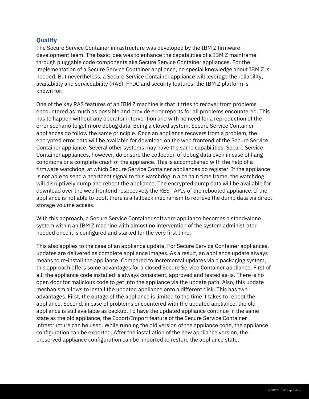### **Quality**

The Secure Service Container infrastructure was developed by the IBM Z firmware development team. The basic idea was to enhance the capabilities of a IBM Z mainframe through pluggable code components aka Secure Service Container appliances. For the implementation of a Secure Service Container appliance, no special knowledge about IBM Z is needed. But nevertheless, a Secure Service Container appliance will leverage the reliability, availability and serviceability (RAS), FFDC and security features, the IBM Z platform is known for.

One of the key RAS features of an IBM Z machine is that it tries to recover from problems encountered as much as possible and provide error reports for all problems encountered. This has to happen without any operator intervention and with no need for a reproduction of the error scenario to get more debug data. Being a closed system, Secure Service Container appliances do follow the same principle. Once an appliance recovers from a problem, the encrypted error data will be available for download on the web frontend of the Secure Service Container appliance. Several other systems may have the same capabilities. Secure Service Container appliances, however, do ensure the collection of debug data even in case of hang conditions or a complete crash of the appliance. This is accomplished with the help of a firmware watchdog, at which Secure Service Container appliances do register. If the appliance is not able to send a heartbeat signal to this watchdog in a certain time frame, the watchdog will disruptively dump and reboot the appliance. The encrypted dump data will be available for download over the web frontend respectively the REST APIs of the rebooted appliance. If the appliance is not able to boot, there is a fallback mechanism to retrieve the dump data via direct storage volume access.

With this approach, a Secure Service Container software appliance becomes a stand-alone system within an IBM Z machine with almost no intervention of the system administrator needed once it is configured and started for the very first time.

This also applies to the case of an appliance update. For Secure Service Container appliances, updates are delivered as complete appliance images. As a result, an appliance update always means to re-install the appliance. Compared to incremental updates via a packaging system, this approach offers some advantages for a closed Secure Service Container appliance. First of all, the appliance code installed is always consistent, approved and tested as-is. There is no open door for malicious code to get into the appliance via the update path. Also, this update mechanism allows to install the updated appliance onto a different disk. This has two advantages. First, the outage of the appliance is limited to the time it takes to reboot the appliance. Second, in case of problems encountered with the updated appliance, the old appliance is still available as backup. To have the updated appliance continue in the same state as the old appliance, the Export/Import feature of the Secure Service Container infrastructure can be used. While running the old version of the appliance code, the appliance configuration can be exported. After the installation of the new appliance version, the preserved appliance configuration can be imported to restore the appliance state.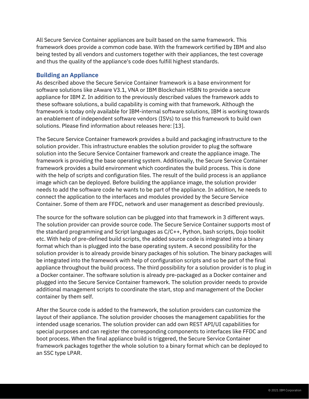All Secure Service Container appliances are built based on the same framework. This framework does provide a common code base. With the framework certified by IBM and also being tested by all vendors and customers together with their appliances, the test coverage and thus the quality of the appliance's code does fulfill highest standards.

#### <span id="page-8-0"></span>**Building an Appliance**

As described above the Secure Service Container framework is a base environment for software solutions like zAware V3.1, VNA or IBM Blockchain HSBN to provide a secure appliance for IBM Z. In addition to the previously described values the framework adds to these software solutions, a build capability is coming with that framework. Although the framework is today only available for IBM-internal software solutions, IBM is working towards an enablement of independent software vendors (ISVs) to use this framework to build own solutions. Please find information about releases here: [13].

The Secure Service Container framework provides a build and packaging infrastructure to the solution provider. This infrastructure enables the solution provider to plug the software solution into the Secure Service Container framework and create the appliance image. The framework is providing the base operating system. Additionally, the Secure Service Container framework provides a build environment which coordinates the build process. This is done with the help of scripts and configuration files. The result of the build process is an appliance image which can be deployed. Before building the appliance image, the solution provider needs to add the software code he wants to be part of the appliance. In addition, he needs to connect the application to the interfaces and modules provided by the Secure Service Container. Some of them are FFDC, network and user management as described previously.

The source for the software solution can be plugged into that framework in 3 different ways. The solution provider can provide source code. The Secure Service Container supports most of the standard programming and Script languages as C/C++, Python, bash scripts, Dojo toolkit etc. With help of pre-defined build scripts, the added source code is integrated into a binary format which than is plugged into the base operating system. A second possibility for the solution provider is to already provide binary packages of his solution. The binary packages will be integrated into the framework with help of configuration scripts and so be part of the final appliance throughout the build process. The third possibility for a solution provider is to plug in a Docker container. The software solution is already pre-packaged as a Docker container and plugged into the Secure Service Container framework. The solution provider needs to provide additional management scripts to coordinate the start, stop and management of the Docker container by them self.

After the Source code is added to the framework, the solution providers can customize the layout of their appliance. The solution provider chooses the management capabilities for the intended usage scenarios. The solution provider can add own REST API/UI capabilities for special purposes and can register the corresponding components to interfaces like FFDC and boot process. When the final appliance build is triggered, the Secure Service Container framework packages together the whole solution to a binary format which can be deployed to an SSC type LPAR.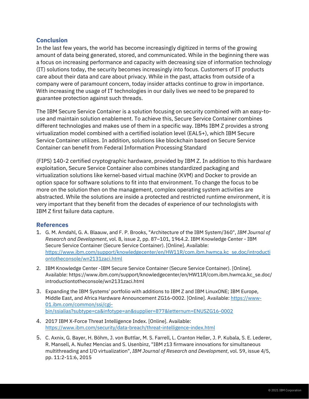#### <span id="page-9-0"></span>**Conclusion**

In the last few years, the world has become increasingly digitized in terms of the growing amount of data being generated, stored, and communicated. While in the beginning there was a focus on increasing performance and capacity with decreasing size of information technology (IT) solutions today, the security becomes increasingly into focus. Customers of IT products care about their data and care about privacy. While in the past, attacks from outside of a company were of paramount concern, today insider attacks continue to grow in importance. With increasing the usage of IT technologies in our daily lives we need to be prepared to guarantee protection against such threads.

The IBM Secure Service Container is a solution focusing on security combined with an easy-touse and maintain solution enablement. To achieve this, Secure Service Container combines different technologies and makes use of them in a specific way. IBMs IBM Z provides a strong virtualization model combined with a certified isolation level (EAL5+), which IBM Secure Service Container utilizes. In addition, solutions like blockchain based on Secure Service Container can benefit from Federal Information Processing Standard

(FIPS) 140-2 certified cryptographic hardware, provided by IBM Z. In addition to this hardware exploitation, Secure Service Container also combines standardized packaging and virtualization solutions like kernel-based virtual machine (KVM) and Docker to provide an option space for software solutions to fit into that environment. To change the focus to be more on the solution then on the management, complex operating system activities are abstracted. While the solutions are inside a protected and restricted runtime environment, it is very important that they benefit from the decades of experience of our technologists with IBM Z first failure data capture.

#### <span id="page-9-1"></span>**References**

- 1. G. M. Amdahl, G. A. Blaauw, and F. P. Brooks, "Architecture of the IBM System/360", *IBM Journal of Research and Development*, vol. 8, issue 2, pp. 87–101, 1964.2. IBM Knowledge Center - IBM Secure Service Container (Secure Service Container). [Online]. Available: [https://www.ibm.com/support/knowledgecenter/en/HW11R/com.ibm.hwmca.kc\\_se.doc/introducti](https://www.ibm.com/support/knowledgecenter/en/HW11R/com.ibm.hwmca.kc_se.doc/introductiontotheconsole/wn2131zaci.html) [ontotheconsole/wn2131zaci.html](https://www.ibm.com/support/knowledgecenter/en/HW11R/com.ibm.hwmca.kc_se.doc/introductiontotheconsole/wn2131zaci.html)
- 2. IBM Knowledge Center -IBM Secure Service Container (Secure Service Container). [Online]. Available: https://www.ibm.com/support/knowledgecenter/en/HW11R/com.ibm.hwmca.kc\_se.doc/ introductiontotheconsole/wn2131zaci.html
- 3. Expanding the IBM Systems' portfolio with additions to IBM Z and IBM LinuxONE; IBM Europe, Middle East, and Africa Hardware Announcement ZG16-0002. [Online]. Available[: https://www-](https://www-01.ibm.com/common/ssi/cgi-bin/ssialias?subtype=ca&infotype=an&supplier=877&letternum=ENUSZG16-0002)[01.ibm.com/common/ssi/cgi](https://www-01.ibm.com/common/ssi/cgi-bin/ssialias?subtype=ca&infotype=an&supplier=877&letternum=ENUSZG16-0002)[bin/ssialias?subtype=ca&infotype=an&supplier=877&letternum=ENUSZG16-0002](https://www-01.ibm.com/common/ssi/cgi-bin/ssialias?subtype=ca&infotype=an&supplier=877&letternum=ENUSZG16-0002)
- 4. 2017 IBM X-Force Threat Intelligence Index. [Online]. Available: <https://www.ibm.com/security/data-breach/threat-intelligence-index.html>
- 5. C. Axnix, G. Bayer, H. Böhm, J. von Buttlar, M. S. Farrell, L. Cranton Heller, J. P. Kubala, S. E. Lederer, R. Mansell, A. Nuñez Mencias and S. Usenbinz, "IBM z13 firmware innovations for simultaneous multithreading and I/O virtualization", *IBM Journal of Research and Development*, vol. 59, issue 4/5, pp. 11:2-11:6, 2015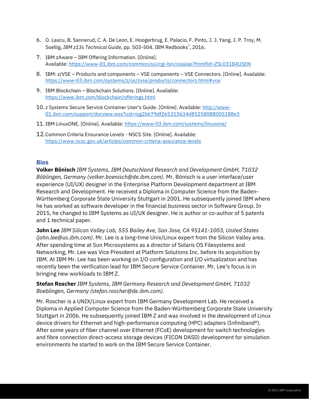- 6. O. Lascu, B. Sannerud, C. A. De Leon, E. Hoogerbrug, E. Palacio, F. Pinto, J. J. Yang, J. P. Troy, M. Soellig, *IBM z13s Technical Guide*, pp. 503-504. IBM Redbooks® , 2016.
- 7. IBM zAware IBM Offering Information. [Online]. Available[: https://www-01.ibm.com/common/ssi/cgi-bin/ssialias?htmlfid=ZSL03184USEN](https://www-01.ibm.com/common/ssi/cgi-bin/ssialias?htmlfid=ZSL03184USEN)
- 8. IBM: z/VSE Products and components VSE components VSE Connectors. [Online]. Available: <https://www-03.ibm.com/systems/z/os/zvse/products/connectors.html#vna>
- 9. IBM Blockchain Blockchain Solutions. [Online]. Available: <https://www.ibm.com/blockchain/offerings.html>
- 10. z Systems Secure Service Container User's Guide. [Online]. Available[: http://www-](http://www-01.ibm.com/support/docview.wss?uid=isg2bb79df265313634d85258088005188e3)[01.ibm.com/support/docview.wss?uid=isg2bb79df265313634d85258088005188e3](http://www-01.ibm.com/support/docview.wss?uid=isg2bb79df265313634d85258088005188e3)
- 11. IBM LinuxONE. [Online]. Available:<https://www-03.ibm.com/systems/linuxone/>
- 12.Common Criteria Ensurance Levels NSCS Site. [Online]. Available: <https://www.ncsc.gov.uk/articles/common-criteria-assurance-levels>

#### <span id="page-10-0"></span>**Bios**

**Volker Bönisch** *IBM Systems, IBM Deutschland Research and Development GmbH, 71032 Böblingen, Germany (volker.boenisch@de.ibm.com).* Mr. Bönisch is a user interface/user experience (UI/UX) designer in the Enterprise Platform Development department at IBM Research and Development. He received a Diploma in Computer Science from the Baden-Württemberg Corporate State University Stuttgart in 2001. He subsequently joined IBM where he has worked as software developer in the financial business sector in Software Group. In 2015, he changed to IBM Systems as UI/UX designer. He is author or co-author of 5 patents and 1 technical paper.

**John Lee** *IBM Silicon Valley Lab, 555 Bailey Ave, San Jose, CA 95141-1003, United States (john.lee@us.ibm.com)*. Mr. Lee is a long-time Unix/Linux expert from the Silicon Valley area. After spending time at Sun Microsystems as a director of Solaris OS Filesystems and Networking, Mr. Lee was Vice President at Platform Solutions Inc. before its acquisition by IBM. At IBM Mr. Lee has been working on I/O configuration and I/O virtualization and has recently been the verification lead for IBM Secure Service Container. Mr. Lee's focus is in bringing new workloads to IBM Z.

#### **Stefan Roscher** *IBM Systems, IBM Germany Research and Development GmbH, 71032 Boeblingen, Germany (stefan.roscher@de.ibm.com).*

Mr. Roscher is a UNIX/Linux expert from IBM Germany Development Lab. He received a Diploma in Applied Computer Science from the Baden-Württemberg Corporate State University Stuttgart in 2006. He subsequently joined IBM Z and was involved in the development of Linux device drivers for Ethernet and high-performance computing (HPC) adapters (Infiniband®). After some years of fiber channel over Ethernet (FCoE) development for switch technologies and fibre connection direct-access storage devices (FICON DASD) development for simulation environments he started to work on the IBM Secure Service Container.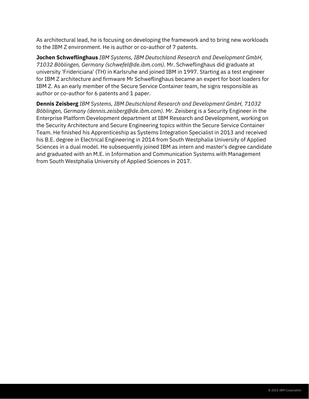As architectural lead, he is focusing on developing the framework and to bring new workloads to the IBM Z environment. He is author or co-author of 7 patents.

**Jochen Schweflinghaus** *IBM Systems, IBM Deutschland Research and Development GmbH, 71032 Böblingen, Germany (schwefel@de.ibm.com)*. Mr. Schweflinghaus did graduate at university 'Fridericiana' (TH) in Karlsruhe and joined IBM in 1997. Starting as a test engineer for IBM Z architecture and firmware Mr Schweflinghaus became an expert for boot loaders for IBM Z. As an early member of the Secure Service Container team, he signs responsible as author or co-author for 6 patents and 1 paper.

**Dennis Zeisberg** *IBM Systems, IBM Deutschland Research and Development GmbH, 71032 Böblingen, Germany (dennis.zeisberg@de.ibm.com).* Mr. Zeisberg is a Security Engineer in the Enterprise Platform Development department at IBM Research and Development, working on the Security Architecture and Secure Engineering topics within the Secure Service Container Team. He finished his Apprenticeship as Systems Integration Specialist in 2013 and received his B.E. degree in Electrical Engineering in 2014 from South Westphalia University of Applied Sciences in a dual model. He subsequently joined IBM as intern and master's degree candidate and graduated with an M.E. in Information and Communication Systems with Management from South Westphalia University of Applied Sciences in 2017.